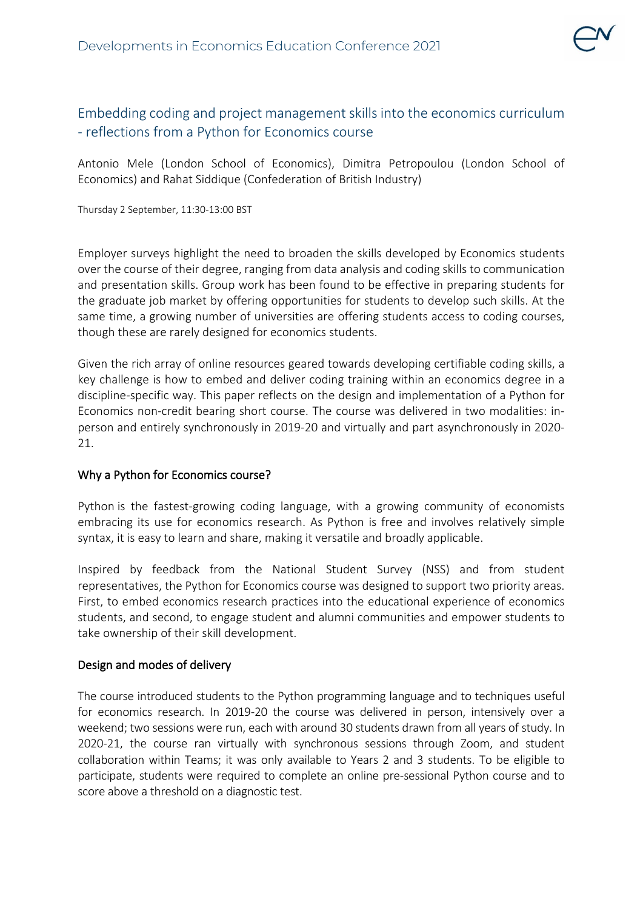

## Embedding coding and project management skills into the economics curriculum - reflections from a Python for Economics course

Antonio Mele (London School of Economics), Dimitra Petropoulou (London School of Economics) and Rahat Siddique (Confederation of British Industry)

Thursday 2 September, 11:30-13:00 BST

Employer surveys highlight the need to broaden the skills developed by Economics students over the course of their degree, ranging from data analysis and coding skills to communication and presentation skills. Group work has been found to be effective in preparing students for the graduate job market by offering opportunities for students to develop such skills. At the same time, a growing number of universities are offering students access to coding courses, though these are rarely designed for economics students.

Given the rich array of online resources geared towards developing certifiable coding skills, a key challenge is how to embed and deliver coding training within an economics degree in a discipline-specific way. This paper reflects on the design and implementation of a Python for Economics non-credit bearing short course. The course was delivered in two modalities: inperson and entirely synchronously in 2019-20 and virtually and part asynchronously in 2020- 21.

## Why a Python for Economics course?

Python is the fastest-growing coding language, with a growing community of economists embracing its use for economics research. As Python is free and involves relatively simple syntax, it is easy to learn and share, making it versatile and broadly applicable.

Inspired by feedback from the National Student Survey (NSS) and from student representatives, the Python for Economics course was designed to support two priority areas. First, to embed economics research practices into the educational experience of economics students, and second, to engage student and alumni communities and empower students to take ownership of their skill development.

## Design and modes of delivery

The course introduced students to the Python programming language and to techniques useful for economics research. In 2019-20 the course was delivered in person, intensively over a weekend; two sessions were run, each with around 30 students drawn from all years of study. In 2020-21, the course ran virtually with synchronous sessions through Zoom, and student collaboration within Teams; it was only available to Years 2 and 3 students. To be eligible to participate, students were required to complete an online pre-sessional Python course and to score above a threshold on a diagnostic test.